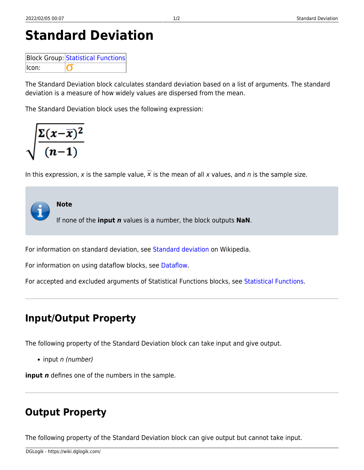**Standard Deviation**

```
Statistical Functions
Icon:
          n
```
The Standard Deviation block calculates standard deviation based on a list of arguments. The standard deviation is a measure of how widely values are dispersed from the mean.

The Standard Deviation block uses the following expression:

$$
\sqrt{\frac{\Sigma(x-\overline{x})^2}{(n-1)}}
$$

In this expression, x is the sample value,  $\overline{x}$  is the mean of all x values, and n is the sample size.



For information on standard deviation, see [Standard deviation](https://en.wikipedia.org/wiki/Standard_deviation) on Wikipedia.

For information on using dataflow blocks, see [Dataflow](https://wiki.dglogik.com/dglux5_wiki:dataflow:home).

For accepted and excluded arguments of Statistical Functions blocks, see [Statistical Functions.](https://wiki.dglogik.com/dglux5_wiki:dataflow:dataflow_blocks_reference:statistical_functions:home)

## **Input/Output Property**

The following property of the Standard Deviation block can take input and give output.

 $\bullet$  input n (number)

**input** *n* defines one of the numbers in the sample.

# **Output Property**

The following property of the Standard Deviation block can give output but cannot take input.